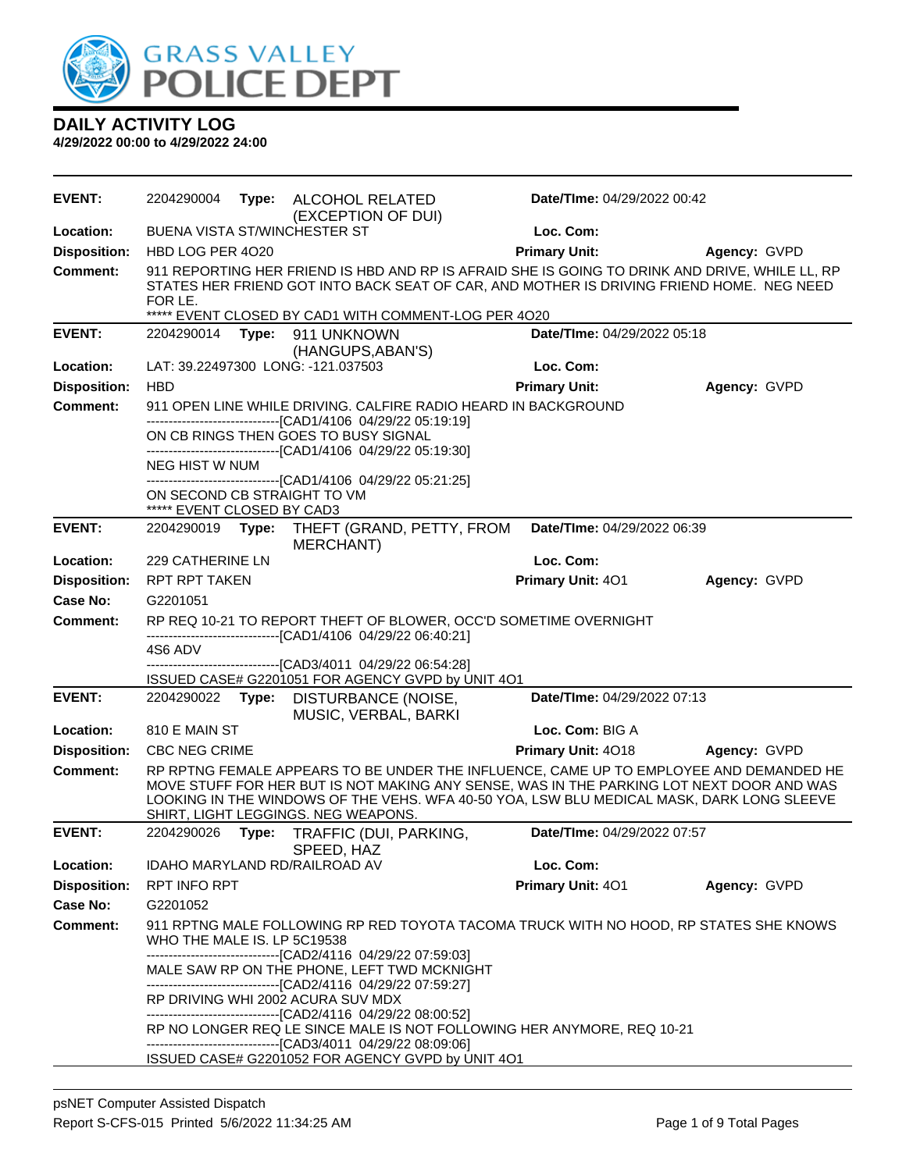

| EVENT:              | 2204290004                                                | Type: ALCOHOL RELATED<br>(EXCEPTION OF DUI)                                                                                                                          | Date/TIme: 04/29/2022 00:42                                                                                                                                                                                                                                                     |              |
|---------------------|-----------------------------------------------------------|----------------------------------------------------------------------------------------------------------------------------------------------------------------------|---------------------------------------------------------------------------------------------------------------------------------------------------------------------------------------------------------------------------------------------------------------------------------|--------------|
| Location:           | <b>BUENA VISTA ST/WINCHESTER ST</b>                       |                                                                                                                                                                      | Loc. Com:                                                                                                                                                                                                                                                                       |              |
| <b>Disposition:</b> | HBD LOG PER 4020                                          |                                                                                                                                                                      | <b>Primary Unit:</b>                                                                                                                                                                                                                                                            | Agency: GVPD |
| <b>Comment:</b>     | FOR LE.                                                   |                                                                                                                                                                      | 911 REPORTING HER FRIEND IS HBD AND RP IS AFRAID SHE IS GOING TO DRINK AND DRIVE, WHILE LL, RP<br>STATES HER FRIEND GOT INTO BACK SEAT OF CAR, AND MOTHER IS DRIVING FRIEND HOME. NEG NEED                                                                                      |              |
| <b>EVENT:</b>       | 2204290014                                                | ***** EVENT CLOSED BY CAD1 WITH COMMENT-LOG PER 4020<br>Type: 911 UNKNOWN                                                                                            | Date/TIme: 04/29/2022 05:18                                                                                                                                                                                                                                                     |              |
|                     |                                                           | (HANGUPS, ABAN'S)                                                                                                                                                    |                                                                                                                                                                                                                                                                                 |              |
| Location:           | LAT: 39.22497300 LONG: -121.037503                        |                                                                                                                                                                      | Loc. Com:                                                                                                                                                                                                                                                                       |              |
| <b>Disposition:</b> | <b>HBD</b>                                                |                                                                                                                                                                      | <b>Primary Unit:</b>                                                                                                                                                                                                                                                            | Agency: GVPD |
| <b>Comment:</b>     |                                                           | 911 OPEN LINE WHILE DRIVING. CALFIRE RADIO HEARD IN BACKGROUND                                                                                                       |                                                                                                                                                                                                                                                                                 |              |
|                     |                                                           | -------------------------------[CAD1/4106 04/29/22 05:19:19]<br>ON CB RINGS THEN GOES TO BUSY SIGNAL<br>-------------------------------[CAD1/4106 04/29/22 05:19:30] |                                                                                                                                                                                                                                                                                 |              |
|                     | <b>NEG HIST W NUM</b>                                     |                                                                                                                                                                      |                                                                                                                                                                                                                                                                                 |              |
|                     | ON SECOND CB STRAIGHT TO VM<br>***** EVENT CLOSED BY CAD3 | --------------------------------[CAD1/4106 04/29/22 05:21:25]                                                                                                        |                                                                                                                                                                                                                                                                                 |              |
| <b>EVENT:</b>       | 2204290019<br>Type:                                       | THEFT (GRAND, PETTY, FROM                                                                                                                                            | Date/TIme: 04/29/2022 06:39                                                                                                                                                                                                                                                     |              |
|                     |                                                           | <b>MERCHANT</b> )                                                                                                                                                    |                                                                                                                                                                                                                                                                                 |              |
| Location:           | <b>229 CATHERINE LN</b>                                   |                                                                                                                                                                      | Loc. Com:                                                                                                                                                                                                                                                                       |              |
| <b>Disposition:</b> | <b>RPT RPT TAKEN</b>                                      |                                                                                                                                                                      | Primary Unit: 401                                                                                                                                                                                                                                                               | Agency: GVPD |
| <b>Case No:</b>     | G2201051                                                  |                                                                                                                                                                      |                                                                                                                                                                                                                                                                                 |              |
| Comment:            |                                                           | -------------------------------[CAD1/4106 04/29/22 06:40:21]                                                                                                         | RP REQ 10-21 TO REPORT THEFT OF BLOWER, OCC'D SOMETIME OVERNIGHT                                                                                                                                                                                                                |              |
|                     | 4S6 ADV                                                   |                                                                                                                                                                      |                                                                                                                                                                                                                                                                                 |              |
|                     |                                                           | --------------------------[CAD3/4011_04/29/22_06:54:28]<br>ISSUED CASE# G2201051 FOR AGENCY GVPD by UNIT 4O1                                                         |                                                                                                                                                                                                                                                                                 |              |
| <b>EVENT:</b>       | 2204290022                                                | Type: DISTURBANCE (NOISE,<br>MUSIC, VERBAL, BARKI                                                                                                                    | Date/TIme: 04/29/2022 07:13                                                                                                                                                                                                                                                     |              |
| Location:           | 810 E MAIN ST                                             |                                                                                                                                                                      | Loc. Com: BIG A                                                                                                                                                                                                                                                                 |              |
| <b>Disposition:</b> | <b>CBC NEG CRIME</b>                                      |                                                                                                                                                                      | Primary Unit: 4018                                                                                                                                                                                                                                                              | Agency: GVPD |
| <b>Comment:</b>     |                                                           | SHIRT, LIGHT LEGGINGS. NEG WEAPONS.                                                                                                                                  | RP RPTNG FEMALE APPEARS TO BE UNDER THE INFLUENCE, CAME UP TO EMPLOYEE AND DEMANDED HE<br>MOVE STUFF FOR HER BUT IS NOT MAKING ANY SENSE, WAS IN THE PARKING LOT NEXT DOOR AND WAS<br>LOOKING IN THE WINDOWS OF THE VEHS. WFA 40-50 YOA, LSW BLU MEDICAL MASK, DARK LONG SLEEVE |              |
| <b>EVENT:</b>       | 2204290026<br>Type:                                       | TRAFFIC (DUI, PARKING,<br>SPEED, HAZ                                                                                                                                 | Date/TIme: 04/29/2022 07:57                                                                                                                                                                                                                                                     |              |
| Location:           | IDAHO MARYLAND RD/RAILROAD AV                             |                                                                                                                                                                      | Loc. Com:                                                                                                                                                                                                                                                                       |              |
| <b>Disposition:</b> | RPT INFO RPT                                              |                                                                                                                                                                      | Primary Unit: 401                                                                                                                                                                                                                                                               | Agency: GVPD |
| Case No:            | G2201052                                                  |                                                                                                                                                                      |                                                                                                                                                                                                                                                                                 |              |
| <b>Comment:</b>     | WHO THE MALE IS. LP 5C19538                               |                                                                                                                                                                      | 911 RPTNG MALE FOLLOWING RP RED TOYOTA TACOMA TRUCK WITH NO HOOD, RP STATES SHE KNOWS                                                                                                                                                                                           |              |
|                     |                                                           | MALE SAW RP ON THE PHONE, LEFT TWD MCKNIGHT                                                                                                                          |                                                                                                                                                                                                                                                                                 |              |
|                     |                                                           | -------------------------------[CAD2/4116 04/29/22 07:59:27]<br>RP DRIVING WHI 2002 ACURA SUV MDX<br>-------------------------------[CAD2/4116 04/29/22 08:00:52]    |                                                                                                                                                                                                                                                                                 |              |
|                     |                                                           | --------------------------------[CAD3/4011 04/29/22 08:09:06]                                                                                                        | RP NO LONGER REQ LE SINCE MALE IS NOT FOLLOWING HER ANYMORE, REQ 10-21                                                                                                                                                                                                          |              |
|                     |                                                           | ISSUED CASE# G2201052 FOR AGENCY GVPD by UNIT 4O1                                                                                                                    |                                                                                                                                                                                                                                                                                 |              |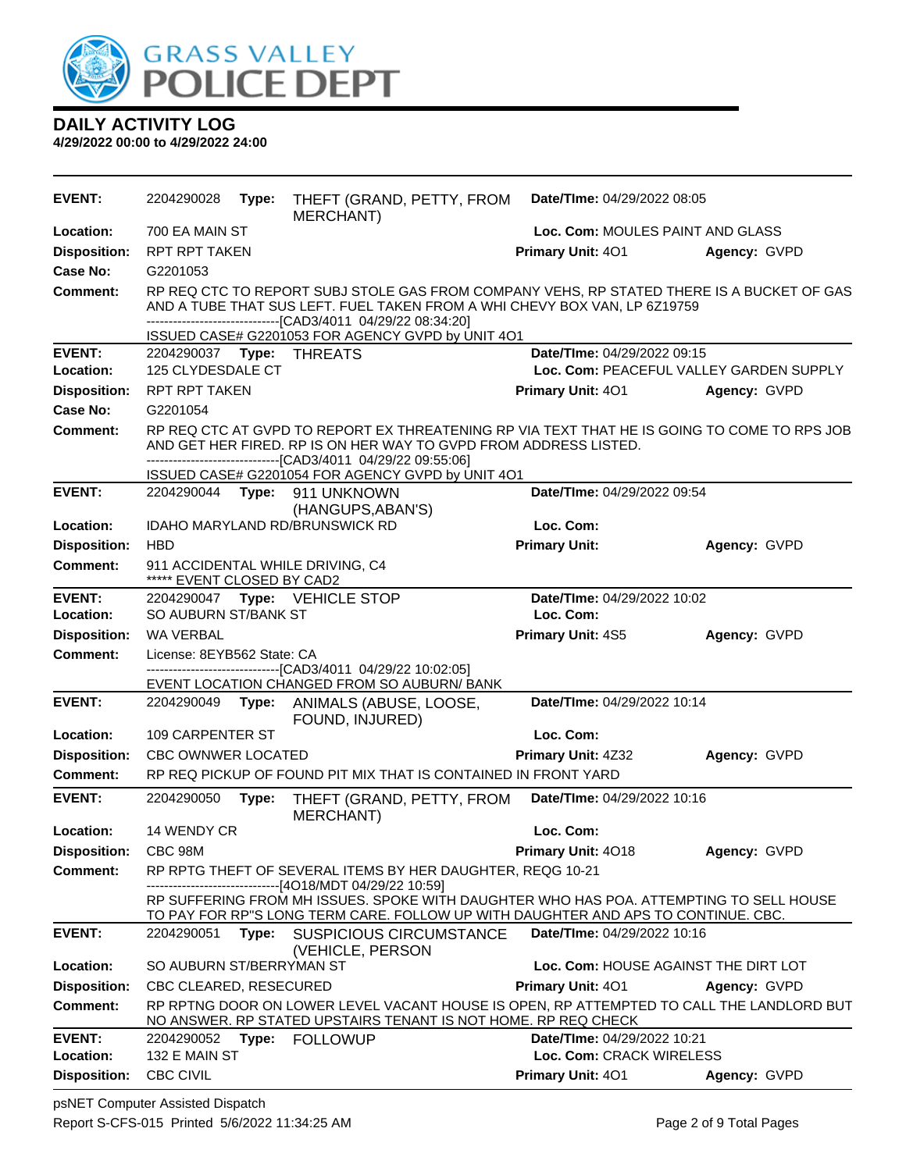

| <b>EVENT:</b>        | 2204290028                    | Type: | THEFT (GRAND, PETTY, FROM<br><b>MERCHANT</b> )                                                                                                                                                                                             | Date/TIme: 04/29/2022 08:05      |                                         |
|----------------------|-------------------------------|-------|--------------------------------------------------------------------------------------------------------------------------------------------------------------------------------------------------------------------------------------------|----------------------------------|-----------------------------------------|
| Location:            | 700 EA MAIN ST                |       |                                                                                                                                                                                                                                            | Loc. Com: MOULES PAINT AND GLASS |                                         |
| <b>Disposition:</b>  | <b>RPT RPT TAKEN</b>          |       |                                                                                                                                                                                                                                            | Primary Unit: 401                | Agency: GVPD                            |
| Case No:             | G2201053                      |       |                                                                                                                                                                                                                                            |                                  |                                         |
| <b>Comment:</b>      |                               |       | RP REQ CTC TO REPORT SUBJ STOLE GAS FROM COMPANY VEHS, RP STATED THERE IS A BUCKET OF GAS<br>AND A TUBE THAT SUS LEFT. FUEL TAKEN FROM A WHI CHEVY BOX VAN, LP 6Z19759<br>-------------------------------[CAD3/4011 04/29/22 08:34:20]     |                                  |                                         |
| <b>EVENT:</b>        |                               |       | ISSUED CASE# G2201053 FOR AGENCY GVPD by UNIT 4O1                                                                                                                                                                                          | Date/TIme: 04/29/2022 09:15      |                                         |
| Location:            | 125 CLYDESDALE CT             |       |                                                                                                                                                                                                                                            |                                  | Loc. Com: PEACEFUL VALLEY GARDEN SUPPLY |
| <b>Disposition:</b>  | <b>RPT RPT TAKEN</b>          |       |                                                                                                                                                                                                                                            | Primary Unit: 401                | Agency: GVPD                            |
| <b>Case No:</b>      | G2201054                      |       |                                                                                                                                                                                                                                            |                                  |                                         |
| <b>Comment:</b>      |                               |       | RP REQ CTC AT GVPD TO REPORT EX THREATENING RP VIA TEXT THAT HE IS GOING TO COME TO RPS JOB<br>AND GET HER FIRED. RP IS ON HER WAY TO GVPD FROM ADDRESS LISTED.<br>--------------------------------[CAD3/4011 04/29/22 09:55:06]           |                                  |                                         |
| <b>EVENT:</b>        |                               |       | ISSUED CASE# G2201054 FOR AGENCY GVPD by UNIT 4O1<br>2204290044 Type: 911 UNKNOWN                                                                                                                                                          | Date/TIme: 04/29/2022 09:54      |                                         |
|                      |                               |       | (HANGUPS, ABAN'S)                                                                                                                                                                                                                          |                                  |                                         |
| Location:            |                               |       | IDAHO MARYLAND RD/BRUNSWICK RD                                                                                                                                                                                                             | Loc. Com:                        |                                         |
| <b>Disposition:</b>  | <b>HBD</b>                    |       |                                                                                                                                                                                                                                            | <b>Primary Unit:</b>             | Agency: GVPD                            |
| <b>Comment:</b>      | ***** EVENT CLOSED BY CAD2    |       | 911 ACCIDENTAL WHILE DRIVING, C4                                                                                                                                                                                                           |                                  |                                         |
| <b>EVENT:</b>        |                               |       | 2204290047 Type: VEHICLE STOP                                                                                                                                                                                                              | Date/TIme: 04/29/2022 10:02      |                                         |
| Location:            | SO AUBURN ST/BANK ST          |       |                                                                                                                                                                                                                                            | Loc. Com:                        |                                         |
| <b>Disposition:</b>  | <b>WA VERBAL</b>              |       |                                                                                                                                                                                                                                            | Primary Unit: 4S5                | Agency: GVPD                            |
| <b>Comment:</b>      | License: 8EYB562 State: CA    |       |                                                                                                                                                                                                                                            |                                  |                                         |
|                      |                               |       | --------------------[CAD3/4011_04/29/22_10:02:05]<br>EVENT LOCATION CHANGED FROM SO AUBURN/ BANK                                                                                                                                           |                                  |                                         |
| <b>EVENT:</b>        | 2204290049                    | Type: | ANIMALS (ABUSE, LOOSE,<br>FOUND, INJURED)                                                                                                                                                                                                  | Date/TIme: 04/29/2022 10:14      |                                         |
| Location:            | 109 CARPENTER ST              |       |                                                                                                                                                                                                                                            | Loc. Com:                        |                                         |
| <b>Disposition:</b>  | CBC OWNWER LOCATED            |       |                                                                                                                                                                                                                                            | <b>Primary Unit: 4Z32</b>        | Agency: GVPD                            |
| <b>Comment:</b>      |                               |       | RP REQ PICKUP OF FOUND PIT MIX THAT IS CONTAINED IN FRONT YARD                                                                                                                                                                             |                                  |                                         |
| <b>EVENT:</b>        | 2204290050                    | Type: | THEFT (GRAND, PETTY, FROM<br><b>MERCHANT)</b>                                                                                                                                                                                              | Date/TIme: 04/29/2022 10:16      |                                         |
| Location:            | 14 WENDY CR                   |       |                                                                                                                                                                                                                                            | Loc. Com:                        |                                         |
| Disposition: CBC 98M |                               |       |                                                                                                                                                                                                                                            | <b>Primary Unit: 4018</b>        | Agency: GVPD                            |
| Comment:             |                               |       | RP RPTG THEFT OF SEVERAL ITEMS BY HER DAUGHTER, REQG 10-21                                                                                                                                                                                 |                                  |                                         |
|                      |                               |       | ----------------------------------[4O18/MDT 04/29/22 10:59]<br>RP SUFFERING FROM MH ISSUES. SPOKE WITH DAUGHTER WHO HAS POA. ATTEMPTING TO SELL HOUSE<br>TO PAY FOR RP"S LONG TERM CARE. FOLLOW UP WITH DAUGHTER AND APS TO CONTINUE. CBC. |                                  |                                         |
| <b>EVENT:</b>        | 2204290051                    | Type: | <b>SUSPICIOUS CIRCUMSTANCE</b>                                                                                                                                                                                                             | Date/TIme: 04/29/2022 10:16      |                                         |
| Location:            | SO AUBURN ST/BERRYMAN ST      |       | (VEHICLE, PERSON                                                                                                                                                                                                                           |                                  | Loc. Com: HOUSE AGAINST THE DIRT LOT    |
| <b>Disposition:</b>  | <b>CBC CLEARED, RESECURED</b> |       |                                                                                                                                                                                                                                            | Primary Unit: 401                | Agency: GVPD                            |
| <b>Comment:</b>      |                               |       | RP RPTNG DOOR ON LOWER LEVEL VACANT HOUSE IS OPEN, RP ATTEMPTED TO CALL THE LANDLORD BUT<br>NO ANSWER. RP STATED UPSTAIRS TENANT IS NOT HOME. RP REQ CHECK                                                                                 |                                  |                                         |
| <b>EVENT:</b>        | 2204290052                    |       | <b>Type: FOLLOWUP</b>                                                                                                                                                                                                                      | Date/TIme: 04/29/2022 10:21      |                                         |
| Location:            | 132 E MAIN ST                 |       |                                                                                                                                                                                                                                            | Loc. Com: CRACK WIRELESS         |                                         |
| <b>Disposition:</b>  | <b>CBC CIVIL</b>              |       |                                                                                                                                                                                                                                            | Primary Unit: 401                | Agency: GVPD                            |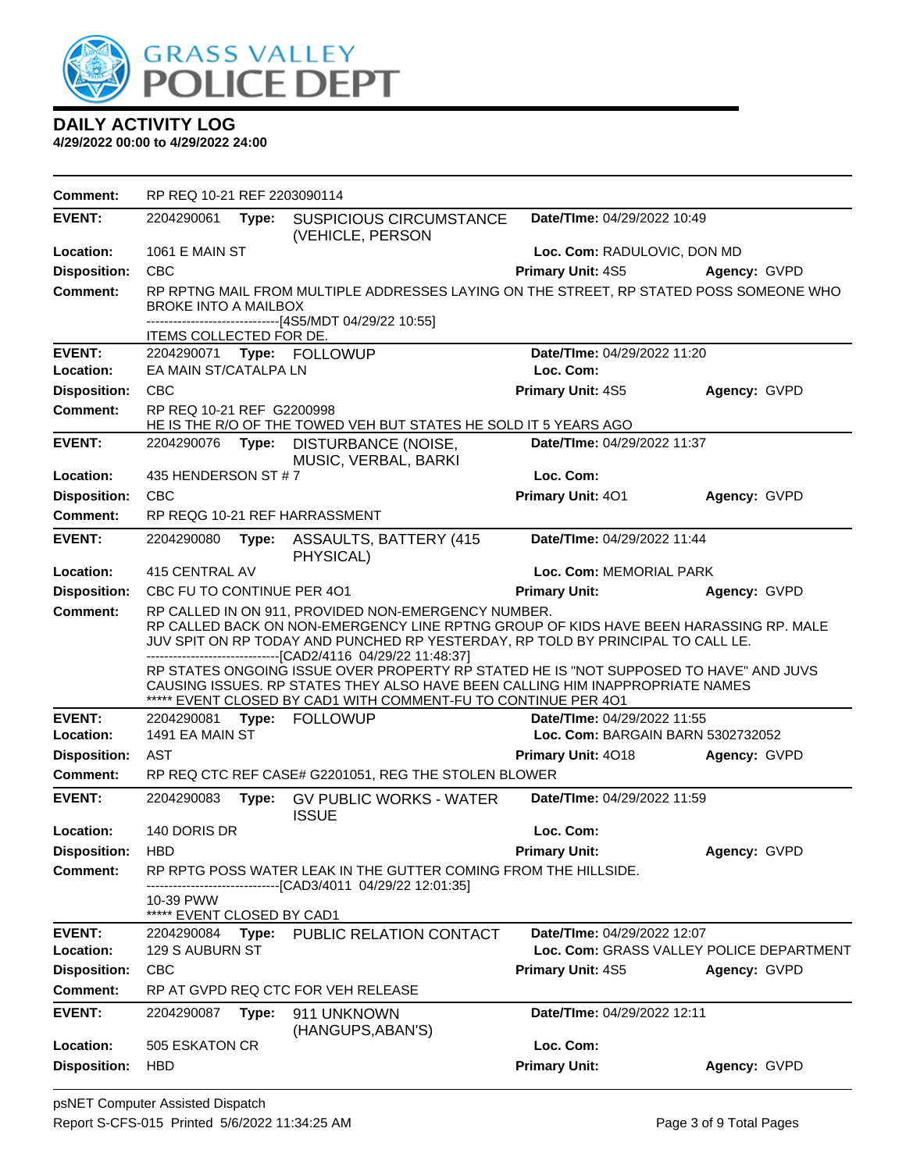

| <b>Comment:</b>     | RP REQ 10-21 REF 2203090114                                                                                                                                                                                                                                                                                                                                                              |       |                                                                                                                                                 |                                          |              |  |
|---------------------|------------------------------------------------------------------------------------------------------------------------------------------------------------------------------------------------------------------------------------------------------------------------------------------------------------------------------------------------------------------------------------------|-------|-------------------------------------------------------------------------------------------------------------------------------------------------|------------------------------------------|--------------|--|
| <b>EVENT:</b>       | 2204290061                                                                                                                                                                                                                                                                                                                                                                               | Type: | <b>SUSPICIOUS CIRCUMSTANCE</b><br>(VEHICLE, PERSON                                                                                              | Date/TIme: 04/29/2022 10:49              |              |  |
| Location:           | <b>1061 E MAIN ST</b>                                                                                                                                                                                                                                                                                                                                                                    |       |                                                                                                                                                 | Loc. Com: RADULOVIC, DON MD              |              |  |
| <b>Disposition:</b> | <b>CBC</b>                                                                                                                                                                                                                                                                                                                                                                               |       |                                                                                                                                                 | <b>Primary Unit: 4S5</b>                 | Agency: GVPD |  |
| <b>Comment:</b>     | RP RPTNG MAIL FROM MULTIPLE ADDRESSES LAYING ON THE STREET, RP STATED POSS SOMEONE WHO<br><b>BROKE INTO A MAILBOX</b><br>------------------------------[4S5/MDT 04/29/22 10:55]                                                                                                                                                                                                          |       |                                                                                                                                                 |                                          |              |  |
| <b>EVENT:</b>       | ITEMS COLLECTED FOR DE.                                                                                                                                                                                                                                                                                                                                                                  |       | 2204290071 Type: FOLLOWUP                                                                                                                       | Date/TIme: 04/29/2022 11:20              |              |  |
| Location:           | EA MAIN ST/CATALPA LN                                                                                                                                                                                                                                                                                                                                                                    |       |                                                                                                                                                 | Loc. Com:                                |              |  |
| <b>Disposition:</b> | <b>CBC</b>                                                                                                                                                                                                                                                                                                                                                                               |       |                                                                                                                                                 | Primary Unit: 4S5                        | Agency: GVPD |  |
| Comment:            | RP REQ 10-21 REF G2200998                                                                                                                                                                                                                                                                                                                                                                |       | HE IS THE R/O OF THE TOWED VEH BUT STATES HE SOLD IT 5 YEARS AGO                                                                                |                                          |              |  |
| <b>EVENT:</b>       | 2204290076 Type:                                                                                                                                                                                                                                                                                                                                                                         |       | DISTURBANCE (NOISE,<br>MUSIC, VERBAL, BARKI                                                                                                     | Date/TIme: 04/29/2022 11:37              |              |  |
| Location:           | 435 HENDERSON ST #7                                                                                                                                                                                                                                                                                                                                                                      |       |                                                                                                                                                 | Loc. Com:                                |              |  |
| <b>Disposition:</b> | <b>CBC</b>                                                                                                                                                                                                                                                                                                                                                                               |       |                                                                                                                                                 | Primary Unit: 401                        | Agency: GVPD |  |
| <b>Comment:</b>     |                                                                                                                                                                                                                                                                                                                                                                                          |       | RP REQG 10-21 REF HARRASSMENT                                                                                                                   |                                          |              |  |
| <b>EVENT:</b>       | 2204290080                                                                                                                                                                                                                                                                                                                                                                               | Type: | ASSAULTS, BATTERY (415)<br>PHYSICAL)                                                                                                            | Date/TIme: 04/29/2022 11:44              |              |  |
| Location:           | 415 CENTRAL AV<br>Loc. Com: MEMORIAL PARK                                                                                                                                                                                                                                                                                                                                                |       |                                                                                                                                                 |                                          |              |  |
| <b>Disposition:</b> | CBC FU TO CONTINUE PER 401                                                                                                                                                                                                                                                                                                                                                               |       |                                                                                                                                                 | <b>Primary Unit:</b>                     | Agency: GVPD |  |
| <b>Comment:</b>     | RP CALLED IN ON 911, PROVIDED NON-EMERGENCY NUMBER.<br>RP CALLED BACK ON NON-EMERGENCY LINE RPTNG GROUP OF KIDS HAVE BEEN HARASSING RP. MALE<br>JUV SPIT ON RP TODAY AND PUNCHED RP YESTERDAY, RP TOLD BY PRINCIPAL TO CALL LE.<br>-------------------------------[CAD2/4116 04/29/22 11:48:37]<br>RP STATES ONGOING ISSUE OVER PROPERTY RP STATED HE IS "NOT SUPPOSED TO HAVE" AND JUVS |       |                                                                                                                                                 |                                          |              |  |
|                     |                                                                                                                                                                                                                                                                                                                                                                                          |       | CAUSING ISSUES. RP STATES THEY ALSO HAVE BEEN CALLING HIM INAPPROPRIATE NAMES<br>***** EVENT CLOSED BY CAD1 WITH COMMENT-FU TO CONTINUE PER 401 |                                          |              |  |
| <b>EVENT:</b>       | 2204290081                                                                                                                                                                                                                                                                                                                                                                               |       | Type: FOLLOWUP                                                                                                                                  | Date/TIme: 04/29/2022 11:55              |              |  |
| Location:           | 1491 EA MAIN ST                                                                                                                                                                                                                                                                                                                                                                          |       |                                                                                                                                                 | Loc. Com: BARGAIN BARN 5302732052        |              |  |
| <b>Disposition:</b> | <b>AST</b>                                                                                                                                                                                                                                                                                                                                                                               |       |                                                                                                                                                 | <b>Primary Unit: 4018</b>                | Agency: GVPD |  |
| Comment:            |                                                                                                                                                                                                                                                                                                                                                                                          |       | RP REQ CTC REF CASE# G2201051, REG THE STOLEN BLOWER                                                                                            |                                          |              |  |
| <b>EVENT:</b>       | 2204290083                                                                                                                                                                                                                                                                                                                                                                               |       | Type: GV PUBLIC WORKS - WATER<br><b>ISSUE</b>                                                                                                   | Date/TIme: 04/29/2022 11:59              |              |  |
| Location:           | 140 DORIS DR                                                                                                                                                                                                                                                                                                                                                                             |       |                                                                                                                                                 | Loc. Com:                                |              |  |
| <b>Disposition:</b> | <b>HBD</b>                                                                                                                                                                                                                                                                                                                                                                               |       |                                                                                                                                                 | <b>Primary Unit:</b>                     | Agency: GVPD |  |
| Comment:            |                                                                                                                                                                                                                                                                                                                                                                                          |       | RP RPTG POSS WATER LEAK IN THE GUTTER COMING FROM THE HILLSIDE.<br>------------------[CAD3/4011 04/29/22 12:01:35]                              |                                          |              |  |
|                     | 10-39 PWW<br>***** EVENT CLOSED BY CAD1                                                                                                                                                                                                                                                                                                                                                  |       |                                                                                                                                                 |                                          |              |  |
| <b>EVENT:</b>       | 2204290084                                                                                                                                                                                                                                                                                                                                                                               | Type: | PUBLIC RELATION CONTACT                                                                                                                         | Date/TIme: 04/29/2022 12:07              |              |  |
| Location:           | 129 S AUBURN ST                                                                                                                                                                                                                                                                                                                                                                          |       |                                                                                                                                                 | Loc. Com: GRASS VALLEY POLICE DEPARTMENT |              |  |
| <b>Disposition:</b> | CBC                                                                                                                                                                                                                                                                                                                                                                                      |       |                                                                                                                                                 | Primary Unit: 4S5                        | Agency: GVPD |  |
| <b>Comment:</b>     |                                                                                                                                                                                                                                                                                                                                                                                          |       | RP AT GVPD REQ CTC FOR VEH RELEASE                                                                                                              |                                          |              |  |
| <b>EVENT:</b>       | 2204290087                                                                                                                                                                                                                                                                                                                                                                               | Type: | 911 UNKNOWN<br>(HANGUPS, ABAN'S)                                                                                                                | Date/TIme: 04/29/2022 12:11              |              |  |
| Location:           | 505 ESKATON CR                                                                                                                                                                                                                                                                                                                                                                           |       |                                                                                                                                                 | Loc. Com:                                |              |  |
| <b>Disposition:</b> | <b>HBD</b>                                                                                                                                                                                                                                                                                                                                                                               |       |                                                                                                                                                 | <b>Primary Unit:</b>                     | Agency: GVPD |  |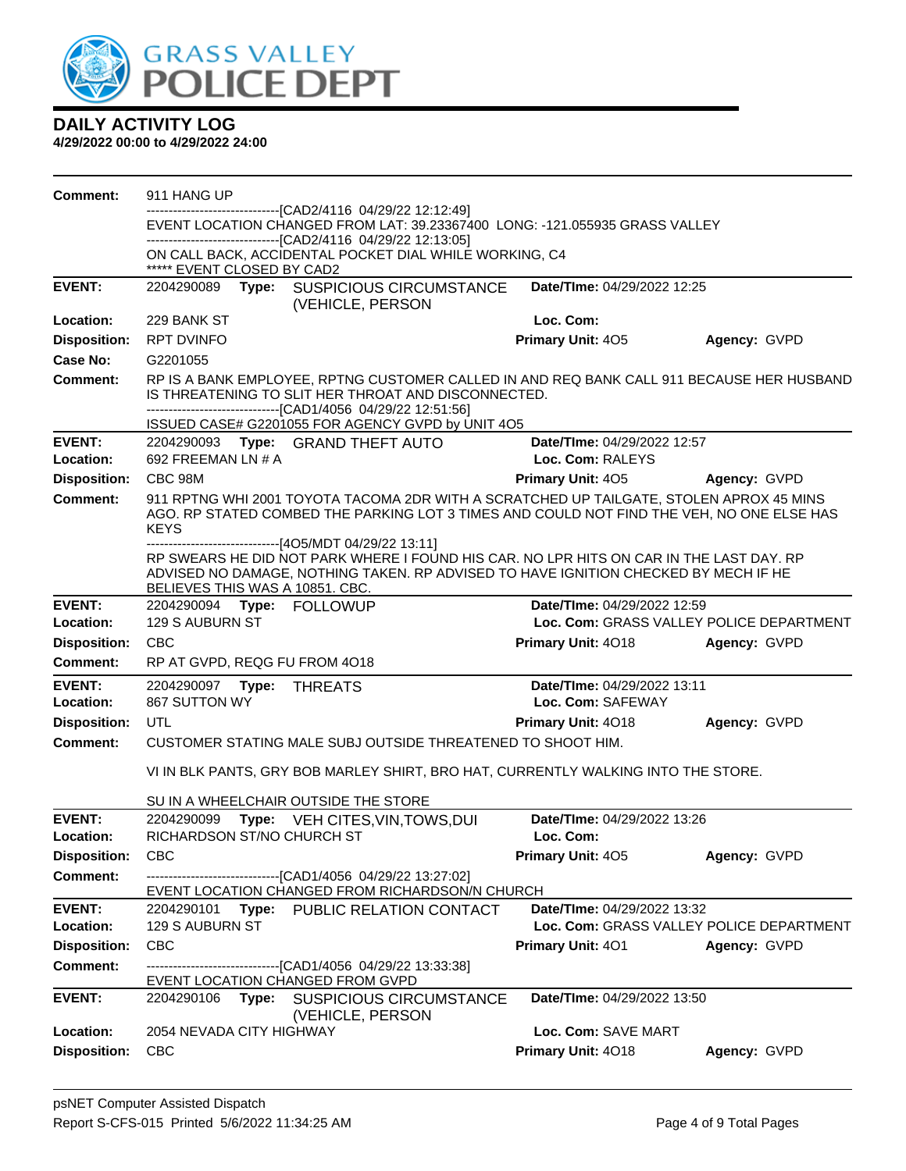

| <b>Comment:</b>            | 911 HANG UP                                                                                                                       |       |                                                                                                                                                                                                                                                                        |                                                 |              |  |  |
|----------------------------|-----------------------------------------------------------------------------------------------------------------------------------|-------|------------------------------------------------------------------------------------------------------------------------------------------------------------------------------------------------------------------------------------------------------------------------|-------------------------------------------------|--------------|--|--|
|                            | ---------------------[CAD2/4116 04/29/22 12:12:49]<br>EVENT LOCATION CHANGED FROM LAT: 39.23367400 LONG: -121.055935 GRASS VALLEY |       |                                                                                                                                                                                                                                                                        |                                                 |              |  |  |
|                            | -------------------------------[CAD2/4116 04/29/22 12:13:05]                                                                      |       |                                                                                                                                                                                                                                                                        |                                                 |              |  |  |
|                            | ON CALL BACK, ACCIDENTAL POCKET DIAL WHILE WORKING, C4<br>***** EVENT CLOSED BY CAD2                                              |       |                                                                                                                                                                                                                                                                        |                                                 |              |  |  |
| <b>EVENT:</b>              | 2204290089                                                                                                                        |       | Type: SUSPICIOUS CIRCUMSTANCE<br>(VEHICLE, PERSON                                                                                                                                                                                                                      | Date/TIme: 04/29/2022 12:25                     |              |  |  |
| Location:                  | 229 BANK ST                                                                                                                       |       |                                                                                                                                                                                                                                                                        | Loc. Com:                                       |              |  |  |
| <b>Disposition:</b>        | <b>RPT DVINFO</b>                                                                                                                 |       |                                                                                                                                                                                                                                                                        | Primary Unit: 405                               | Agency: GVPD |  |  |
| Case No:                   | G2201055                                                                                                                          |       |                                                                                                                                                                                                                                                                        |                                                 |              |  |  |
| Comment:                   |                                                                                                                                   |       | RP IS A BANK EMPLOYEE, RPTNG CUSTOMER CALLED IN AND REQ BANK CALL 911 BECAUSE HER HUSBAND<br>IS THREATENING TO SLIT HER THROAT AND DISCONNECTED.<br>--------------------------------[CAD1/4056 04/29/22 12:51:56]<br>ISSUED CASE# G2201055 FOR AGENCY GVPD by UNIT 4O5 |                                                 |              |  |  |
| <b>EVENT:</b><br>Location: | 692 FREEMAN LN # A                                                                                                                |       | 2204290093 Type: GRAND THEFT AUTO                                                                                                                                                                                                                                      | Date/TIme: 04/29/2022 12:57<br>Loc. Com: RALEYS |              |  |  |
| <b>Disposition:</b>        | CBC 98M                                                                                                                           |       |                                                                                                                                                                                                                                                                        | Primary Unit: 405                               | Agency: GVPD |  |  |
| <b>Comment:</b>            | <b>KEYS</b>                                                                                                                       |       | 911 RPTNG WHI 2001 TOYOTA TACOMA 2DR WITH A SCRATCHED UP TAILGATE, STOLEN APROX 45 MINS<br>AGO. RP STATED COMBED THE PARKING LOT 3 TIMES AND COULD NOT FIND THE VEH, NO ONE ELSE HAS                                                                                   |                                                 |              |  |  |
|                            | BELIEVES THIS WAS A 10851. CBC.                                                                                                   |       | --------------------[4O5/MDT 04/29/22 13:11]<br>RP SWEARS HE DID NOT PARK WHERE I FOUND HIS CAR. NO LPR HITS ON CAR IN THE LAST DAY. RP<br>ADVISED NO DAMAGE, NOTHING TAKEN. RP ADVISED TO HAVE IGNITION CHECKED BY MECH IF HE                                         |                                                 |              |  |  |
| <b>EVENT:</b>              |                                                                                                                                   |       | 2204290094 Type: FOLLOWUP                                                                                                                                                                                                                                              | Date/TIme: 04/29/2022 12:59                     |              |  |  |
| Location:                  | 129 S AUBURN ST                                                                                                                   |       |                                                                                                                                                                                                                                                                        | Loc. Com: GRASS VALLEY POLICE DEPARTMENT        |              |  |  |
| <b>Disposition:</b>        | <b>CBC</b>                                                                                                                        |       |                                                                                                                                                                                                                                                                        | Primary Unit: 4018                              | Agency: GVPD |  |  |
| <b>Comment:</b>            |                                                                                                                                   |       | RP AT GVPD, REQG FU FROM 4018                                                                                                                                                                                                                                          |                                                 |              |  |  |
| <b>EVENT:</b>              | 2204290097 Type:                                                                                                                  |       | <b>THREATS</b>                                                                                                                                                                                                                                                         | Date/TIme: 04/29/2022 13:11                     |              |  |  |
| Location:                  | 867 SUTTON WY                                                                                                                     |       |                                                                                                                                                                                                                                                                        | Loc. Com: SAFEWAY                               |              |  |  |
| <b>Disposition:</b>        | <b>UTL</b>                                                                                                                        |       |                                                                                                                                                                                                                                                                        | <b>Primary Unit: 4018</b>                       | Agency: GVPD |  |  |
| <b>Comment:</b>            |                                                                                                                                   |       | CUSTOMER STATING MALE SUBJ OUTSIDE THREATENED TO SHOOT HIM.                                                                                                                                                                                                            |                                                 |              |  |  |
|                            |                                                                                                                                   |       | VI IN BLK PANTS, GRY BOB MARLEY SHIRT, BRO HAT, CURRENTLY WALKING INTO THE STORE.                                                                                                                                                                                      |                                                 |              |  |  |
|                            |                                                                                                                                   |       | SU IN A WHEELCHAIR OUTSIDE THE STORE                                                                                                                                                                                                                                   |                                                 |              |  |  |
| <b>EVENT:</b>              | 2204290099                                                                                                                        | Type: | VEH CITES, VIN, TOWS, DUI                                                                                                                                                                                                                                              | Date/TIme: 04/29/2022 13:26                     |              |  |  |
| Location:                  | <b>RICHARDSON ST/NO CHURCH ST</b>                                                                                                 |       |                                                                                                                                                                                                                                                                        | Loc. Com:                                       |              |  |  |
| <b>Disposition:</b>        | <b>CBC</b>                                                                                                                        |       |                                                                                                                                                                                                                                                                        | Primary Unit: 405                               | Agency: GVPD |  |  |
| <b>Comment:</b>            |                                                                                                                                   |       | --------------------------[CAD1/4056_04/29/22 13:27:02]<br>EVENT LOCATION CHANGED FROM RICHARDSON/N CHURCH                                                                                                                                                             |                                                 |              |  |  |
| <b>EVENT:</b>              | 2204290101                                                                                                                        |       | Type: PUBLIC RELATION CONTACT                                                                                                                                                                                                                                          | Date/TIme: 04/29/2022 13:32                     |              |  |  |
| Location:                  | 129 S AUBURN ST                                                                                                                   |       |                                                                                                                                                                                                                                                                        | Loc. Com: GRASS VALLEY POLICE DEPARTMENT        |              |  |  |
| <b>Disposition:</b>        | CBC                                                                                                                               |       |                                                                                                                                                                                                                                                                        | Primary Unit: 401                               | Agency: GVPD |  |  |
| <b>Comment:</b>            |                                                                                                                                   |       | -------------------------------[CAD1/4056 04/29/22 13:33:38]<br>EVENT LOCATION CHANGED FROM GVPD                                                                                                                                                                       |                                                 |              |  |  |
| <b>EVENT:</b>              | 2204290106                                                                                                                        | Type: | <b>SUSPICIOUS CIRCUMSTANCE</b><br>(VEHICLE, PERSON                                                                                                                                                                                                                     | Date/TIme: 04/29/2022 13:50                     |              |  |  |
| Location:                  | 2054 NEVADA CITY HIGHWAY                                                                                                          |       |                                                                                                                                                                                                                                                                        | Loc. Com: SAVE MART                             |              |  |  |
| <b>Disposition:</b>        | <b>CBC</b>                                                                                                                        |       |                                                                                                                                                                                                                                                                        | Primary Unit: 4018                              | Agency: GVPD |  |  |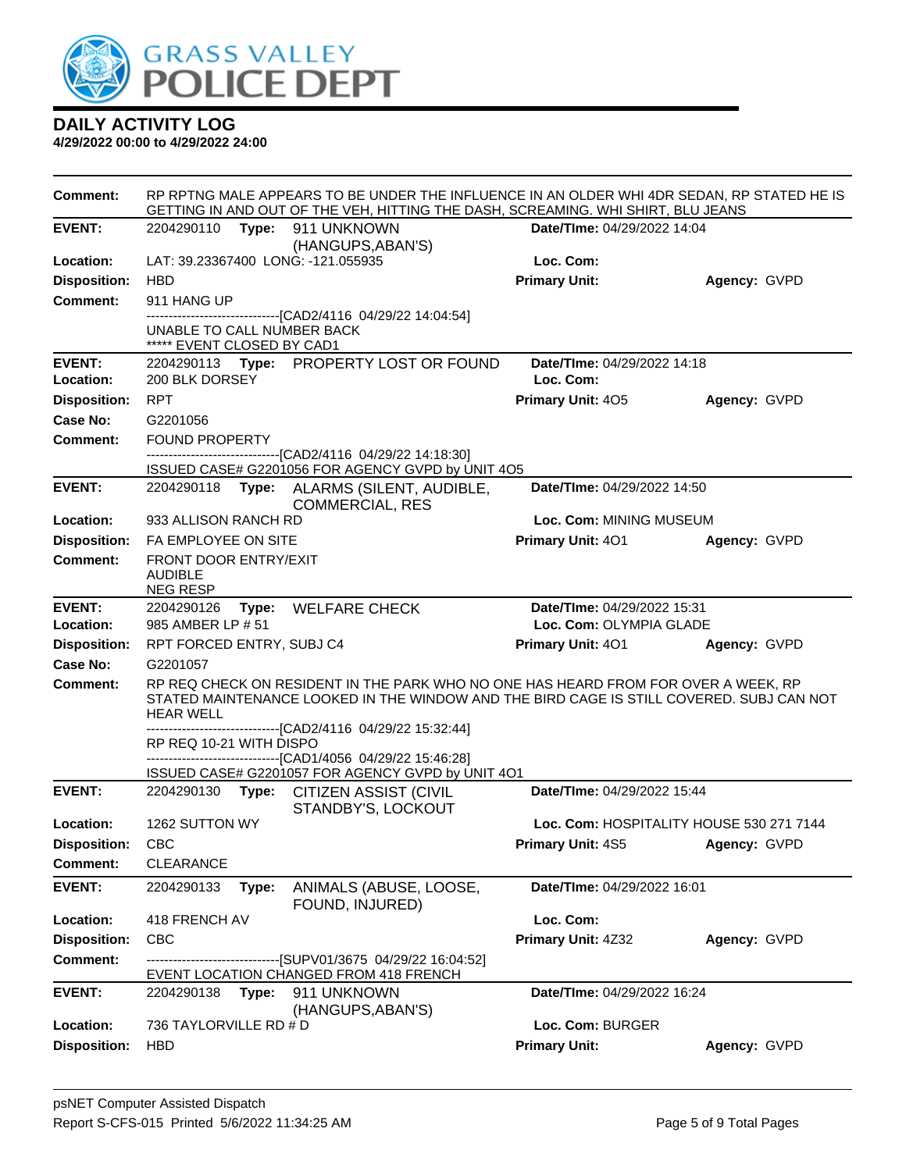

| <b>Comment:</b>     | RP RPTNG MALE APPEARS TO BE UNDER THE INFLUENCE IN AN OLDER WHI 4DR SEDAN, RP STATED HE IS<br>GETTING IN AND OUT OF THE VEH, HITTING THE DASH, SCREAMING. WHI SHIRT, BLU JEANS |                                                                                                                                                                                |                                          |              |  |  |  |
|---------------------|--------------------------------------------------------------------------------------------------------------------------------------------------------------------------------|--------------------------------------------------------------------------------------------------------------------------------------------------------------------------------|------------------------------------------|--------------|--|--|--|
| <b>EVENT:</b>       | 2204290110 Type: 911 UNKNOWN                                                                                                                                                   | (HANGUPS, ABAN'S)                                                                                                                                                              | Date/TIme: 04/29/2022 14:04              |              |  |  |  |
| Location:           | LAT: 39.23367400 LONG: -121.055935                                                                                                                                             |                                                                                                                                                                                | Loc. Com:                                |              |  |  |  |
| <b>Disposition:</b> | <b>HBD</b>                                                                                                                                                                     |                                                                                                                                                                                | <b>Primary Unit:</b>                     | Agency: GVPD |  |  |  |
| <b>Comment:</b>     | 911 HANG UP                                                                                                                                                                    |                                                                                                                                                                                |                                          |              |  |  |  |
|                     | UNABLE TO CALL NUMBER BACK<br>***** EVENT CLOSED BY CAD1                                                                                                                       | --------------------------[CAD2/4116_04/29/22 14:04:54]                                                                                                                        |                                          |              |  |  |  |
| <b>EVENT:</b>       |                                                                                                                                                                                | 2204290113 Type: PROPERTY LOST OR FOUND                                                                                                                                        | Date/TIme: 04/29/2022 14:18              |              |  |  |  |
| Location:           | 200 BLK DORSEY                                                                                                                                                                 |                                                                                                                                                                                | Loc. Com:                                |              |  |  |  |
| <b>Disposition:</b> | <b>RPT</b>                                                                                                                                                                     |                                                                                                                                                                                | <b>Primary Unit: 405</b>                 | Agency: GVPD |  |  |  |
| Case No:            | G2201056                                                                                                                                                                       |                                                                                                                                                                                |                                          |              |  |  |  |
| <b>Comment:</b>     | <b>FOUND PROPERTY</b>                                                                                                                                                          |                                                                                                                                                                                |                                          |              |  |  |  |
|                     |                                                                                                                                                                                | ------------------------------[CAD2/4116 04/29/22 14:18:30]<br>ISSUED CASE# G2201056 FOR AGENCY GVPD by UNIT 4O5                                                               |                                          |              |  |  |  |
| <b>EVENT:</b>       |                                                                                                                                                                                | 2204290118 Type: ALARMS (SILENT, AUDIBLE,<br><b>COMMERCIAL, RES</b>                                                                                                            | Date/TIme: 04/29/2022 14:50              |              |  |  |  |
| Location:           | 933 ALLISON RANCH RD                                                                                                                                                           |                                                                                                                                                                                | Loc. Com: MINING MUSEUM                  |              |  |  |  |
| <b>Disposition:</b> | FA EMPLOYEE ON SITE                                                                                                                                                            |                                                                                                                                                                                | Primary Unit: 401                        | Agency: GVPD |  |  |  |
| <b>Comment:</b>     | FRONT DOOR ENTRY/EXIT<br><b>AUDIBLE</b><br><b>NEG RESP</b>                                                                                                                     |                                                                                                                                                                                |                                          |              |  |  |  |
| <b>EVENT:</b>       | 2204290126                                                                                                                                                                     | Type: WELFARE CHECK                                                                                                                                                            | Date/TIme: 04/29/2022 15:31              |              |  |  |  |
| Location:           | 985 AMBER LP # 51                                                                                                                                                              |                                                                                                                                                                                | Loc. Com: OLYMPIA GLADE                  |              |  |  |  |
| <b>Disposition:</b> | RPT FORCED ENTRY, SUBJ C4                                                                                                                                                      |                                                                                                                                                                                | <b>Primary Unit: 401</b>                 | Agency: GVPD |  |  |  |
| Case No:            | G2201057                                                                                                                                                                       |                                                                                                                                                                                |                                          |              |  |  |  |
| <b>Comment:</b>     | <b>HEAR WELL</b>                                                                                                                                                               | RP REQ CHECK ON RESIDENT IN THE PARK WHO NO ONE HAS HEARD FROM FOR OVER A WEEK, RP<br>STATED MAINTENANCE LOOKED IN THE WINDOW AND THE BIRD CAGE IS STILL COVERED. SUBJ CAN NOT |                                          |              |  |  |  |
|                     | RP REQ 10-21 WITH DISPO                                                                                                                                                        | ------------------------[CAD2/4116_04/29/22_15:32:44]                                                                                                                          |                                          |              |  |  |  |
|                     |                                                                                                                                                                                | -------------------------------[CAD1/4056 04/29/22 15:46:28]                                                                                                                   |                                          |              |  |  |  |
|                     |                                                                                                                                                                                | ISSUED CASE# G2201057 FOR AGENCY GVPD by UNIT 4O1                                                                                                                              |                                          |              |  |  |  |
| <b>EVENT:</b>       |                                                                                                                                                                                | 2204290130 Type: CITIZEN ASSIST (CIVIL<br>STANDBY'S, LOCKOUT                                                                                                                   | Date/TIme: 04/29/2022 15:44              |              |  |  |  |
| Location:           | 1262 SUTTON WY                                                                                                                                                                 |                                                                                                                                                                                | Loc. Com: HOSPITALITY HOUSE 530 271 7144 |              |  |  |  |
| <b>Disposition:</b> | CBC                                                                                                                                                                            |                                                                                                                                                                                | <b>Primary Unit: 4S5 Agency: GVPD</b>    |              |  |  |  |
| Comment:            | CLEARANCE                                                                                                                                                                      |                                                                                                                                                                                |                                          |              |  |  |  |
| <b>EVENT:</b>       | 2204290133<br>Type:                                                                                                                                                            | ANIMALS (ABUSE, LOOSE,<br>FOUND, INJURED)                                                                                                                                      | Date/TIme: 04/29/2022 16:01              |              |  |  |  |
| Location:           | 418 FRENCH AV                                                                                                                                                                  |                                                                                                                                                                                | Loc. Com:                                |              |  |  |  |
| <b>Disposition:</b> | <b>CBC</b>                                                                                                                                                                     |                                                                                                                                                                                | Primary Unit: 4Z32                       | Agency: GVPD |  |  |  |
| <b>Comment:</b>     |                                                                                                                                                                                | --------------------------[SUPV01/3675 04/29/22 16:04:52]                                                                                                                      |                                          |              |  |  |  |
|                     |                                                                                                                                                                                | EVENT LOCATION CHANGED FROM 418 FRENCH                                                                                                                                         |                                          |              |  |  |  |
| <b>EVENT:</b>       | 2204290138<br>Type:                                                                                                                                                            | 911 UNKNOWN<br>(HANGUPS, ABAN'S)                                                                                                                                               | Date/TIme: 04/29/2022 16:24              |              |  |  |  |
| Location:           | 736 TAYLORVILLE RD # D                                                                                                                                                         |                                                                                                                                                                                | Loc. Com: BURGER                         |              |  |  |  |
| <b>Disposition:</b> | <b>HBD</b>                                                                                                                                                                     |                                                                                                                                                                                | <b>Primary Unit:</b>                     | Agency: GVPD |  |  |  |
|                     |                                                                                                                                                                                |                                                                                                                                                                                |                                          |              |  |  |  |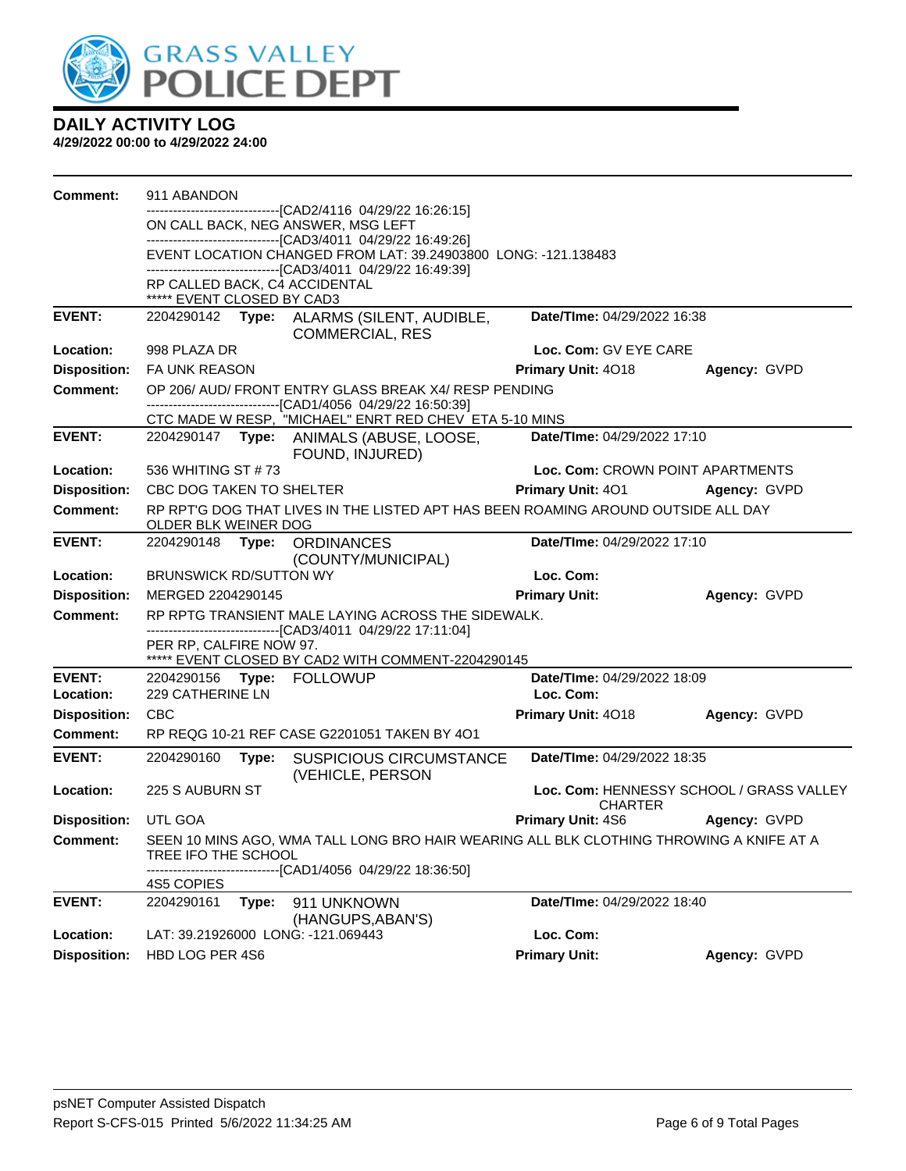

| ---------------------[CAD2/4116_04/29/22 16:26:15]<br>ON CALL BACK, NEG ANSWER, MSG LEFT<br>-------------------------------[CAD3/4011 04/29/22 16:49:26]<br>EVENT LOCATION CHANGED FROM LAT: 39.24903800 LONG: -121.138483<br>------------------------------[CAD3/4011 04/29/22 16:49:39]<br>RP CALLED BACK, C4 ACCIDENTAL<br>***** EVENT CLOSED BY CAD3<br><b>EVENT:</b><br>Date/TIme: 04/29/2022 16:38<br>2204290142 Type: ALARMS (SILENT, AUDIBLE,<br><b>COMMERCIAL, RES</b><br>Loc. Com: GV EYE CARE<br><b>Location:</b><br>998 PLAZA DR<br><b>Disposition:</b><br>FA UNK REASON<br><b>Primary Unit: 4018</b><br>Agency: GVPD<br><b>Comment:</b><br>OP 206/AUD/FRONT ENTRY GLASS BREAK X4/ RESP PENDING<br>-------------------------------[CAD1/4056 04/29/22 16:50:39]<br>CTC MADE W RESP, "MICHAEL" ENRT RED CHEV ETA 5-10 MINS<br><b>EVENT:</b><br>2204290147 Type: ANIMALS (ABUSE, LOOSE,<br>Date/TIme: 04/29/2022 17:10<br>FOUND, INJURED)<br>Loc. Com: CROWN POINT APARTMENTS<br>Location:<br>536 WHITING ST #73<br><b>Disposition:</b><br><b>Primary Unit: 401</b><br>CBC DOG TAKEN TO SHELTER<br>Agency: GVPD<br><b>Comment:</b><br>RP RPT'G DOG THAT LIVES IN THE LISTED APT HAS BEEN ROAMING AROUND OUTSIDE ALL DAY<br>OLDER BLK WEINER DOG<br><b>EVENT:</b><br>2204290148 Type: ORDINANCES<br>Date/TIme: 04/29/2022 17:10<br>(COUNTY/MUNICIPAL)<br>Loc. Com:<br>Location:<br><b>BRUNSWICK RD/SUTTON WY</b><br><b>Primary Unit:</b><br><b>Disposition:</b><br>MERGED 2204290145<br>Agency: GVPD<br>RP RPTG TRANSIENT MALE LAYING ACROSS THE SIDEWALK.<br><b>Comment:</b><br>-------------------------------[CAD3/4011_04/29/22 17:11:04]<br>PER RP, CALFIRE NOW 97.<br>***** EVENT CLOSED BY CAD2 WITH COMMENT-2204290145<br><b>EVENT:</b><br>Date/TIme: 04/29/2022 18:09<br>2204290156 Type: FOLLOWUP<br>229 CATHERINE LN<br>Loc. Com:<br>Location:<br><b>Disposition:</b><br>CBC<br>Primary Unit: 4018<br>Agency: GVPD<br>RP REQG 10-21 REF CASE G2201051 TAKEN BY 4O1<br><b>Comment:</b><br><b>EVENT:</b><br>Date/TIme: 04/29/2022 18:35<br>2204290160<br><b>SUSPICIOUS CIRCUMSTANCE</b><br>Type:<br>(VEHICLE, PERSON<br>Location:<br>225 S AUBURN ST<br>Loc. Com: HENNESSY SCHOOL / GRASS VALLEY<br><b>CHARTER</b><br><b>Disposition:</b> UTL GOA<br><b>Primary Unit: 4S6</b><br>Agency: GVPD<br>SEEN 10 MINS AGO, WMA TALL LONG BRO HAIR WEARING ALL BLK CLOTHING THROWING A KNIFE AT A<br><b>Comment:</b><br>TREE IFO THE SCHOOL<br>--[CAD1/4056_04/29/22 18:36:50]<br>4S5 COPIES<br><b>EVENT:</b><br>2204290161<br>911 UNKNOWN<br>Date/TIme: 04/29/2022 18:40<br>Type:<br>(HANGUPS, ABAN'S)<br>Loc. Com:<br>Location:<br>LAT: 39.21926000 LONG: -121.069443<br><b>Primary Unit:</b><br><b>Disposition:</b><br>HBD LOG PER 4S6<br>Agency: GVPD | Comment: | 911 ABANDON |  |  |
|--------------------------------------------------------------------------------------------------------------------------------------------------------------------------------------------------------------------------------------------------------------------------------------------------------------------------------------------------------------------------------------------------------------------------------------------------------------------------------------------------------------------------------------------------------------------------------------------------------------------------------------------------------------------------------------------------------------------------------------------------------------------------------------------------------------------------------------------------------------------------------------------------------------------------------------------------------------------------------------------------------------------------------------------------------------------------------------------------------------------------------------------------------------------------------------------------------------------------------------------------------------------------------------------------------------------------------------------------------------------------------------------------------------------------------------------------------------------------------------------------------------------------------------------------------------------------------------------------------------------------------------------------------------------------------------------------------------------------------------------------------------------------------------------------------------------------------------------------------------------------------------------------------------------------------------------------------------------------------------------------------------------------------------------------------------------------------------------------------------------------------------------------------------------------------------------------------------------------------------------------------------------------------------------------------------------------------------------------------------------------------------------------------------------------------------------------------------------------------------------------------------------------------------------------------------------------------------------------------------------------------------------------------------------------------------------------------------------------------------------------------------------|----------|-------------|--|--|
|                                                                                                                                                                                                                                                                                                                                                                                                                                                                                                                                                                                                                                                                                                                                                                                                                                                                                                                                                                                                                                                                                                                                                                                                                                                                                                                                                                                                                                                                                                                                                                                                                                                                                                                                                                                                                                                                                                                                                                                                                                                                                                                                                                                                                                                                                                                                                                                                                                                                                                                                                                                                                                                                                                                                                                    |          |             |  |  |
|                                                                                                                                                                                                                                                                                                                                                                                                                                                                                                                                                                                                                                                                                                                                                                                                                                                                                                                                                                                                                                                                                                                                                                                                                                                                                                                                                                                                                                                                                                                                                                                                                                                                                                                                                                                                                                                                                                                                                                                                                                                                                                                                                                                                                                                                                                                                                                                                                                                                                                                                                                                                                                                                                                                                                                    |          |             |  |  |
|                                                                                                                                                                                                                                                                                                                                                                                                                                                                                                                                                                                                                                                                                                                                                                                                                                                                                                                                                                                                                                                                                                                                                                                                                                                                                                                                                                                                                                                                                                                                                                                                                                                                                                                                                                                                                                                                                                                                                                                                                                                                                                                                                                                                                                                                                                                                                                                                                                                                                                                                                                                                                                                                                                                                                                    |          |             |  |  |
|                                                                                                                                                                                                                                                                                                                                                                                                                                                                                                                                                                                                                                                                                                                                                                                                                                                                                                                                                                                                                                                                                                                                                                                                                                                                                                                                                                                                                                                                                                                                                                                                                                                                                                                                                                                                                                                                                                                                                                                                                                                                                                                                                                                                                                                                                                                                                                                                                                                                                                                                                                                                                                                                                                                                                                    |          |             |  |  |
|                                                                                                                                                                                                                                                                                                                                                                                                                                                                                                                                                                                                                                                                                                                                                                                                                                                                                                                                                                                                                                                                                                                                                                                                                                                                                                                                                                                                                                                                                                                                                                                                                                                                                                                                                                                                                                                                                                                                                                                                                                                                                                                                                                                                                                                                                                                                                                                                                                                                                                                                                                                                                                                                                                                                                                    |          |             |  |  |
|                                                                                                                                                                                                                                                                                                                                                                                                                                                                                                                                                                                                                                                                                                                                                                                                                                                                                                                                                                                                                                                                                                                                                                                                                                                                                                                                                                                                                                                                                                                                                                                                                                                                                                                                                                                                                                                                                                                                                                                                                                                                                                                                                                                                                                                                                                                                                                                                                                                                                                                                                                                                                                                                                                                                                                    |          |             |  |  |
|                                                                                                                                                                                                                                                                                                                                                                                                                                                                                                                                                                                                                                                                                                                                                                                                                                                                                                                                                                                                                                                                                                                                                                                                                                                                                                                                                                                                                                                                                                                                                                                                                                                                                                                                                                                                                                                                                                                                                                                                                                                                                                                                                                                                                                                                                                                                                                                                                                                                                                                                                                                                                                                                                                                                                                    |          |             |  |  |
|                                                                                                                                                                                                                                                                                                                                                                                                                                                                                                                                                                                                                                                                                                                                                                                                                                                                                                                                                                                                                                                                                                                                                                                                                                                                                                                                                                                                                                                                                                                                                                                                                                                                                                                                                                                                                                                                                                                                                                                                                                                                                                                                                                                                                                                                                                                                                                                                                                                                                                                                                                                                                                                                                                                                                                    |          |             |  |  |
|                                                                                                                                                                                                                                                                                                                                                                                                                                                                                                                                                                                                                                                                                                                                                                                                                                                                                                                                                                                                                                                                                                                                                                                                                                                                                                                                                                                                                                                                                                                                                                                                                                                                                                                                                                                                                                                                                                                                                                                                                                                                                                                                                                                                                                                                                                                                                                                                                                                                                                                                                                                                                                                                                                                                                                    |          |             |  |  |
|                                                                                                                                                                                                                                                                                                                                                                                                                                                                                                                                                                                                                                                                                                                                                                                                                                                                                                                                                                                                                                                                                                                                                                                                                                                                                                                                                                                                                                                                                                                                                                                                                                                                                                                                                                                                                                                                                                                                                                                                                                                                                                                                                                                                                                                                                                                                                                                                                                                                                                                                                                                                                                                                                                                                                                    |          |             |  |  |
|                                                                                                                                                                                                                                                                                                                                                                                                                                                                                                                                                                                                                                                                                                                                                                                                                                                                                                                                                                                                                                                                                                                                                                                                                                                                                                                                                                                                                                                                                                                                                                                                                                                                                                                                                                                                                                                                                                                                                                                                                                                                                                                                                                                                                                                                                                                                                                                                                                                                                                                                                                                                                                                                                                                                                                    |          |             |  |  |
|                                                                                                                                                                                                                                                                                                                                                                                                                                                                                                                                                                                                                                                                                                                                                                                                                                                                                                                                                                                                                                                                                                                                                                                                                                                                                                                                                                                                                                                                                                                                                                                                                                                                                                                                                                                                                                                                                                                                                                                                                                                                                                                                                                                                                                                                                                                                                                                                                                                                                                                                                                                                                                                                                                                                                                    |          |             |  |  |
|                                                                                                                                                                                                                                                                                                                                                                                                                                                                                                                                                                                                                                                                                                                                                                                                                                                                                                                                                                                                                                                                                                                                                                                                                                                                                                                                                                                                                                                                                                                                                                                                                                                                                                                                                                                                                                                                                                                                                                                                                                                                                                                                                                                                                                                                                                                                                                                                                                                                                                                                                                                                                                                                                                                                                                    |          |             |  |  |
|                                                                                                                                                                                                                                                                                                                                                                                                                                                                                                                                                                                                                                                                                                                                                                                                                                                                                                                                                                                                                                                                                                                                                                                                                                                                                                                                                                                                                                                                                                                                                                                                                                                                                                                                                                                                                                                                                                                                                                                                                                                                                                                                                                                                                                                                                                                                                                                                                                                                                                                                                                                                                                                                                                                                                                    |          |             |  |  |
|                                                                                                                                                                                                                                                                                                                                                                                                                                                                                                                                                                                                                                                                                                                                                                                                                                                                                                                                                                                                                                                                                                                                                                                                                                                                                                                                                                                                                                                                                                                                                                                                                                                                                                                                                                                                                                                                                                                                                                                                                                                                                                                                                                                                                                                                                                                                                                                                                                                                                                                                                                                                                                                                                                                                                                    |          |             |  |  |
|                                                                                                                                                                                                                                                                                                                                                                                                                                                                                                                                                                                                                                                                                                                                                                                                                                                                                                                                                                                                                                                                                                                                                                                                                                                                                                                                                                                                                                                                                                                                                                                                                                                                                                                                                                                                                                                                                                                                                                                                                                                                                                                                                                                                                                                                                                                                                                                                                                                                                                                                                                                                                                                                                                                                                                    |          |             |  |  |
|                                                                                                                                                                                                                                                                                                                                                                                                                                                                                                                                                                                                                                                                                                                                                                                                                                                                                                                                                                                                                                                                                                                                                                                                                                                                                                                                                                                                                                                                                                                                                                                                                                                                                                                                                                                                                                                                                                                                                                                                                                                                                                                                                                                                                                                                                                                                                                                                                                                                                                                                                                                                                                                                                                                                                                    |          |             |  |  |
|                                                                                                                                                                                                                                                                                                                                                                                                                                                                                                                                                                                                                                                                                                                                                                                                                                                                                                                                                                                                                                                                                                                                                                                                                                                                                                                                                                                                                                                                                                                                                                                                                                                                                                                                                                                                                                                                                                                                                                                                                                                                                                                                                                                                                                                                                                                                                                                                                                                                                                                                                                                                                                                                                                                                                                    |          |             |  |  |
|                                                                                                                                                                                                                                                                                                                                                                                                                                                                                                                                                                                                                                                                                                                                                                                                                                                                                                                                                                                                                                                                                                                                                                                                                                                                                                                                                                                                                                                                                                                                                                                                                                                                                                                                                                                                                                                                                                                                                                                                                                                                                                                                                                                                                                                                                                                                                                                                                                                                                                                                                                                                                                                                                                                                                                    |          |             |  |  |
|                                                                                                                                                                                                                                                                                                                                                                                                                                                                                                                                                                                                                                                                                                                                                                                                                                                                                                                                                                                                                                                                                                                                                                                                                                                                                                                                                                                                                                                                                                                                                                                                                                                                                                                                                                                                                                                                                                                                                                                                                                                                                                                                                                                                                                                                                                                                                                                                                                                                                                                                                                                                                                                                                                                                                                    |          |             |  |  |
|                                                                                                                                                                                                                                                                                                                                                                                                                                                                                                                                                                                                                                                                                                                                                                                                                                                                                                                                                                                                                                                                                                                                                                                                                                                                                                                                                                                                                                                                                                                                                                                                                                                                                                                                                                                                                                                                                                                                                                                                                                                                                                                                                                                                                                                                                                                                                                                                                                                                                                                                                                                                                                                                                                                                                                    |          |             |  |  |
|                                                                                                                                                                                                                                                                                                                                                                                                                                                                                                                                                                                                                                                                                                                                                                                                                                                                                                                                                                                                                                                                                                                                                                                                                                                                                                                                                                                                                                                                                                                                                                                                                                                                                                                                                                                                                                                                                                                                                                                                                                                                                                                                                                                                                                                                                                                                                                                                                                                                                                                                                                                                                                                                                                                                                                    |          |             |  |  |
|                                                                                                                                                                                                                                                                                                                                                                                                                                                                                                                                                                                                                                                                                                                                                                                                                                                                                                                                                                                                                                                                                                                                                                                                                                                                                                                                                                                                                                                                                                                                                                                                                                                                                                                                                                                                                                                                                                                                                                                                                                                                                                                                                                                                                                                                                                                                                                                                                                                                                                                                                                                                                                                                                                                                                                    |          |             |  |  |
|                                                                                                                                                                                                                                                                                                                                                                                                                                                                                                                                                                                                                                                                                                                                                                                                                                                                                                                                                                                                                                                                                                                                                                                                                                                                                                                                                                                                                                                                                                                                                                                                                                                                                                                                                                                                                                                                                                                                                                                                                                                                                                                                                                                                                                                                                                                                                                                                                                                                                                                                                                                                                                                                                                                                                                    |          |             |  |  |
|                                                                                                                                                                                                                                                                                                                                                                                                                                                                                                                                                                                                                                                                                                                                                                                                                                                                                                                                                                                                                                                                                                                                                                                                                                                                                                                                                                                                                                                                                                                                                                                                                                                                                                                                                                                                                                                                                                                                                                                                                                                                                                                                                                                                                                                                                                                                                                                                                                                                                                                                                                                                                                                                                                                                                                    |          |             |  |  |
|                                                                                                                                                                                                                                                                                                                                                                                                                                                                                                                                                                                                                                                                                                                                                                                                                                                                                                                                                                                                                                                                                                                                                                                                                                                                                                                                                                                                                                                                                                                                                                                                                                                                                                                                                                                                                                                                                                                                                                                                                                                                                                                                                                                                                                                                                                                                                                                                                                                                                                                                                                                                                                                                                                                                                                    |          |             |  |  |
|                                                                                                                                                                                                                                                                                                                                                                                                                                                                                                                                                                                                                                                                                                                                                                                                                                                                                                                                                                                                                                                                                                                                                                                                                                                                                                                                                                                                                                                                                                                                                                                                                                                                                                                                                                                                                                                                                                                                                                                                                                                                                                                                                                                                                                                                                                                                                                                                                                                                                                                                                                                                                                                                                                                                                                    |          |             |  |  |
|                                                                                                                                                                                                                                                                                                                                                                                                                                                                                                                                                                                                                                                                                                                                                                                                                                                                                                                                                                                                                                                                                                                                                                                                                                                                                                                                                                                                                                                                                                                                                                                                                                                                                                                                                                                                                                                                                                                                                                                                                                                                                                                                                                                                                                                                                                                                                                                                                                                                                                                                                                                                                                                                                                                                                                    |          |             |  |  |
|                                                                                                                                                                                                                                                                                                                                                                                                                                                                                                                                                                                                                                                                                                                                                                                                                                                                                                                                                                                                                                                                                                                                                                                                                                                                                                                                                                                                                                                                                                                                                                                                                                                                                                                                                                                                                                                                                                                                                                                                                                                                                                                                                                                                                                                                                                                                                                                                                                                                                                                                                                                                                                                                                                                                                                    |          |             |  |  |
|                                                                                                                                                                                                                                                                                                                                                                                                                                                                                                                                                                                                                                                                                                                                                                                                                                                                                                                                                                                                                                                                                                                                                                                                                                                                                                                                                                                                                                                                                                                                                                                                                                                                                                                                                                                                                                                                                                                                                                                                                                                                                                                                                                                                                                                                                                                                                                                                                                                                                                                                                                                                                                                                                                                                                                    |          |             |  |  |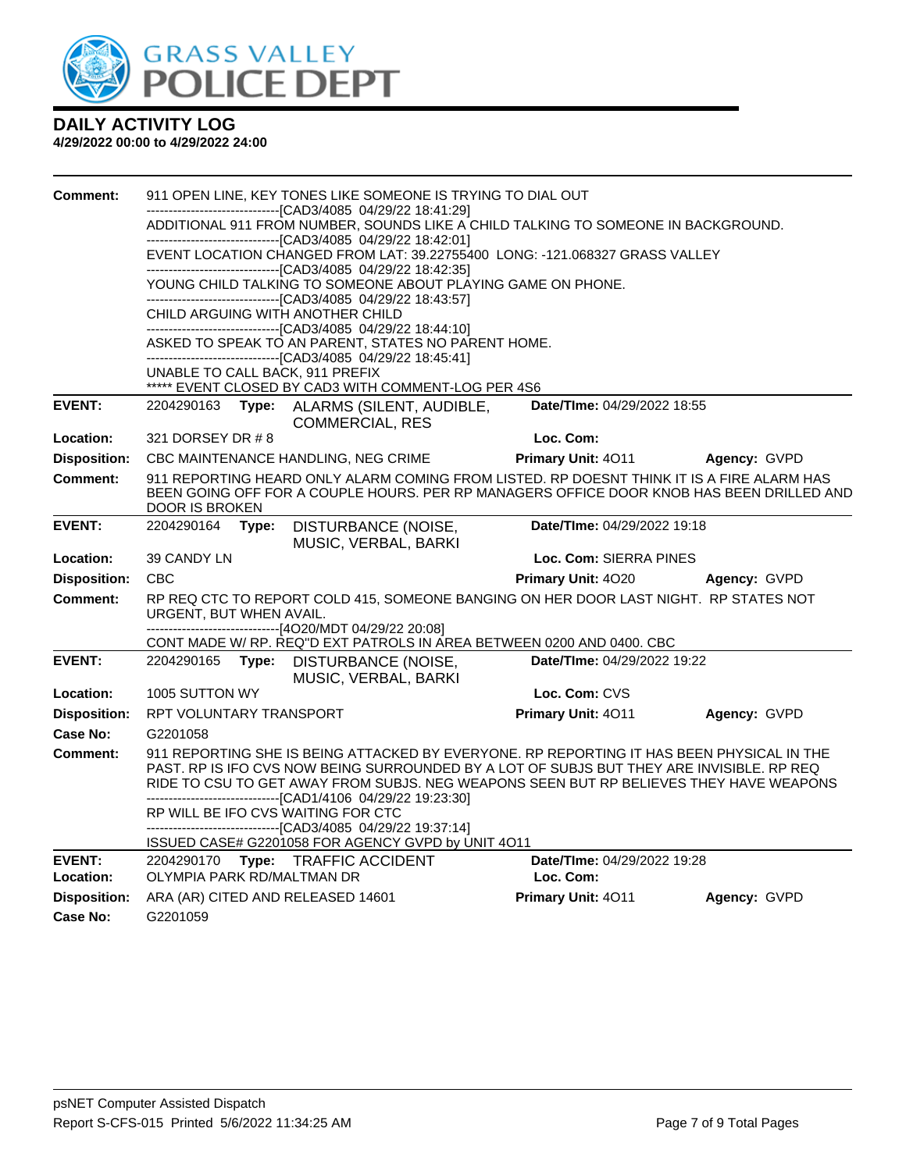

| <b>Comment:</b>            | 911 OPEN LINE, KEY TONES LIKE SOMEONE IS TRYING TO DIAL OUT<br>------------------------[CAD3/4085_04/29/22 18:41:29] |       |                                                                                                                                                      |                                                                                                                                                                                                                                                                                  |                                                                                          |  |
|----------------------------|----------------------------------------------------------------------------------------------------------------------|-------|------------------------------------------------------------------------------------------------------------------------------------------------------|----------------------------------------------------------------------------------------------------------------------------------------------------------------------------------------------------------------------------------------------------------------------------------|------------------------------------------------------------------------------------------|--|
|                            |                                                                                                                      |       |                                                                                                                                                      | ADDITIONAL 911 FROM NUMBER, SOUNDS LIKE A CHILD TALKING TO SOMEONE IN BACKGROUND.                                                                                                                                                                                                |                                                                                          |  |
|                            |                                                                                                                      |       | --------------------------------[CAD3/4085_04/29/22_18:42:01]                                                                                        | EVENT LOCATION CHANGED FROM LAT: 39.22755400 LONG: -121.068327 GRASS VALLEY                                                                                                                                                                                                      |                                                                                          |  |
|                            |                                                                                                                      |       | ----------------------------[CAD3/4085  04/29/22 18:42:35]                                                                                           |                                                                                                                                                                                                                                                                                  |                                                                                          |  |
|                            |                                                                                                                      |       | YOUNG CHILD TALKING TO SOMEONE ABOUT PLAYING GAME ON PHONE.<br>-------------------------------[CAD3/4085 04/29/22 18:43:57]                          |                                                                                                                                                                                                                                                                                  |                                                                                          |  |
|                            |                                                                                                                      |       | CHILD ARGUING WITH ANOTHER CHILD                                                                                                                     |                                                                                                                                                                                                                                                                                  |                                                                                          |  |
|                            |                                                                                                                      |       | --------------------------------[CAD3/4085  04/29/22 18:44:10]<br>ASKED TO SPEAK TO AN PARENT, STATES NO PARENT HOME.                                |                                                                                                                                                                                                                                                                                  |                                                                                          |  |
|                            |                                                                                                                      |       | -------------------------------[CAD3/4085  04/29/22 18:45:41]<br>UNABLE TO CALL BACK, 911 PREFIX                                                     |                                                                                                                                                                                                                                                                                  |                                                                                          |  |
|                            |                                                                                                                      |       | ***** EVENT CLOSED BY CAD3 WITH COMMENT-LOG PER 4S6                                                                                                  |                                                                                                                                                                                                                                                                                  |                                                                                          |  |
| <b>EVENT:</b>              | 2204290163                                                                                                           |       | Type: ALARMS (SILENT, AUDIBLE,<br><b>COMMERCIAL, RES</b>                                                                                             | Date/TIme: 04/29/2022 18:55                                                                                                                                                                                                                                                      |                                                                                          |  |
| Location:                  | 321 DORSEY DR # 8                                                                                                    |       |                                                                                                                                                      | Loc. Com:                                                                                                                                                                                                                                                                        |                                                                                          |  |
| <b>Disposition:</b>        |                                                                                                                      |       | CBC MAINTENANCE HANDLING, NEG CRIME                                                                                                                  | Primary Unit: 4011                                                                                                                                                                                                                                                               | Agency: GVPD                                                                             |  |
| <b>Comment:</b>            | DOOR IS BROKEN                                                                                                       |       |                                                                                                                                                      | 911 REPORTING HEARD ONLY ALARM COMING FROM LISTED. RP DOESNT THINK IT IS A FIRE ALARM HAS                                                                                                                                                                                        | BEEN GOING OFF FOR A COUPLE HOURS. PER RP MANAGERS OFFICE DOOR KNOB HAS BEEN DRILLED AND |  |
| <b>EVENT:</b>              | 2204290164                                                                                                           | Type: | DISTURBANCE (NOISE,<br>MUSIC, VERBAL, BARKI                                                                                                          | Date/TIme: 04/29/2022 19:18                                                                                                                                                                                                                                                      |                                                                                          |  |
| Location:                  | 39 CANDY LN                                                                                                          |       |                                                                                                                                                      | Loc. Com: SIERRA PINES                                                                                                                                                                                                                                                           |                                                                                          |  |
| <b>Disposition:</b>        | <b>CBC</b>                                                                                                           |       |                                                                                                                                                      | Primary Unit: 4020                                                                                                                                                                                                                                                               | Agency: GVPD                                                                             |  |
| Comment:                   | URGENT, BUT WHEN AVAIL.                                                                                              |       |                                                                                                                                                      | RP REQ CTC TO REPORT COLD 415, SOMEONE BANGING ON HER DOOR LAST NIGHT. RP STATES NOT                                                                                                                                                                                             |                                                                                          |  |
|                            |                                                                                                                      |       | ------------------------------[4O20/MDT 04/29/22 20:08]                                                                                              | CONT MADE W/ RP. REQ"D EXT PATROLS IN AREA BETWEEN 0200 AND 0400. CBC                                                                                                                                                                                                            |                                                                                          |  |
| <b>EVENT:</b>              | 2204290165                                                                                                           | Type: | DISTURBANCE (NOISE,<br>MUSIC, VERBAL, BARKI                                                                                                          | Date/TIme: 04/29/2022 19:22                                                                                                                                                                                                                                                      |                                                                                          |  |
| Location:                  | 1005 SUTTON WY                                                                                                       |       |                                                                                                                                                      | Loc. Com: CVS                                                                                                                                                                                                                                                                    |                                                                                          |  |
| <b>Disposition:</b>        | RPT VOLUNTARY TRANSPORT                                                                                              |       |                                                                                                                                                      | Primary Unit: 4011                                                                                                                                                                                                                                                               | Agency: GVPD                                                                             |  |
| Case No:                   | G2201058                                                                                                             |       |                                                                                                                                                      |                                                                                                                                                                                                                                                                                  |                                                                                          |  |
| <b>Comment:</b>            |                                                                                                                      |       |                                                                                                                                                      | 911 REPORTING SHE IS BEING ATTACKED BY EVERYONE. RP REPORTING IT HAS BEEN PHYSICAL IN THE<br>PAST. RP IS IFO CVS NOW BEING SURROUNDED BY A LOT OF SUBJS BUT THEY ARE INVISIBLE. RP REQ<br>RIDE TO CSU TO GET AWAY FROM SUBJS. NEG WEAPONS SEEN BUT RP BELIEVES THEY HAVE WEAPONS |                                                                                          |  |
|                            |                                                                                                                      |       |                                                                                                                                                      |                                                                                                                                                                                                                                                                                  |                                                                                          |  |
|                            |                                                                                                                      |       | -------------------------------[CAD1/4106 04/29/22 19:23:30]<br>RP WILL BE IFO CVS WAITING FOR CTC<br>-----------------[CAD3/4085_04/29/22 19:37:14] |                                                                                                                                                                                                                                                                                  |                                                                                          |  |
|                            |                                                                                                                      |       | ISSUED CASE# G2201058 FOR AGENCY GVPD by UNIT 4O11                                                                                                   |                                                                                                                                                                                                                                                                                  |                                                                                          |  |
| <b>EVENT:</b><br>Location: | OLYMPIA PARK RD/MALTMAN DR                                                                                           |       | 2204290170 Type: TRAFFIC ACCIDENT                                                                                                                    | Date/TIme: 04/29/2022 19:28<br>Loc. Com:                                                                                                                                                                                                                                         |                                                                                          |  |
| <b>Disposition:</b>        |                                                                                                                      |       | ARA (AR) CITED AND RELEASED 14601                                                                                                                    | Primary Unit: 4011                                                                                                                                                                                                                                                               | Agency: GVPD                                                                             |  |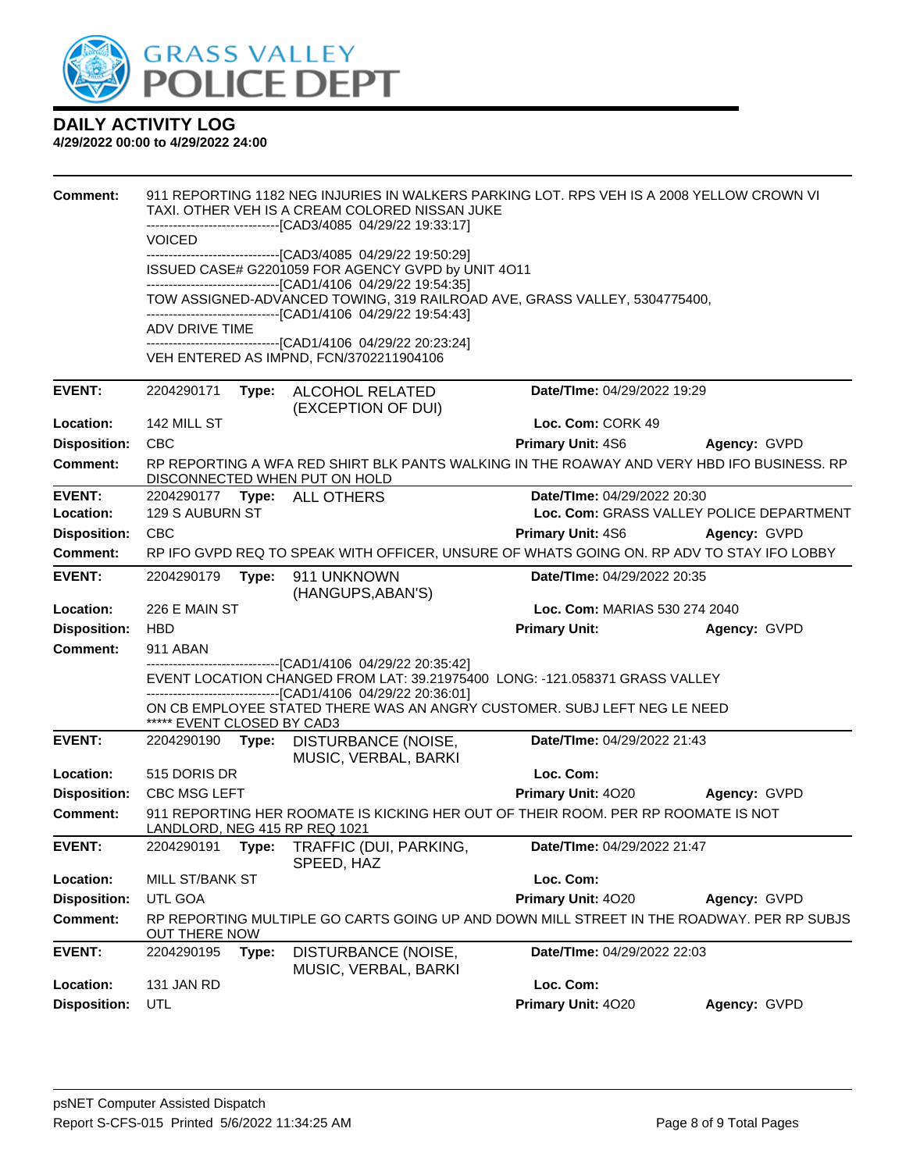

| <b>Comment:</b>     |                                                                                                                                                                                                           |       | TAXI. OTHER VEH IS A CREAM COLORED NISSAN JUKE<br>------------------------------[CAD3/4085 04/29/22 19:33:17]               | 911 REPORTING 1182 NEG INJURIES IN WALKERS PARKING LOT. RPS VEH IS A 2008 YELLOW CROWN VI  |                                          |  |  |
|---------------------|-----------------------------------------------------------------------------------------------------------------------------------------------------------------------------------------------------------|-------|-----------------------------------------------------------------------------------------------------------------------------|--------------------------------------------------------------------------------------------|------------------------------------------|--|--|
|                     | <b>VOICED</b>                                                                                                                                                                                             |       |                                                                                                                             |                                                                                            |                                          |  |  |
|                     |                                                                                                                                                                                                           |       | ---------------------------------[CAD3/4085 04/29/22 19:50:29]<br>ISSUED CASE# G2201059 FOR AGENCY GVPD by UNIT 4O11        |                                                                                            |                                          |  |  |
|                     | -------------------------------[CAD1/4106 04/29/22 19:54:35]<br>TOW ASSIGNED-ADVANCED TOWING, 319 RAILROAD AVE, GRASS VALLEY, 5304775400,<br>-------------------------------[CAD1/4106 04/29/22 19:54:43] |       |                                                                                                                             |                                                                                            |                                          |  |  |
|                     | ADV DRIVE TIME                                                                                                                                                                                            |       |                                                                                                                             |                                                                                            |                                          |  |  |
|                     |                                                                                                                                                                                                           |       | ------------------------------[CAD1/4106 04/29/22 20:23:24]<br>VEH ENTERED AS IMPND, FCN/3702211904106                      |                                                                                            |                                          |  |  |
| <b>EVENT:</b>       |                                                                                                                                                                                                           |       | 2204290171 Type: ALCOHOL RELATED<br>(EXCEPTION OF DUI)                                                                      | Date/TIme: 04/29/2022 19:29                                                                |                                          |  |  |
| Location:           | 142 MILL ST                                                                                                                                                                                               |       |                                                                                                                             | Loc. Com: CORK 49                                                                          |                                          |  |  |
| <b>Disposition:</b> | <b>CBC</b>                                                                                                                                                                                                |       |                                                                                                                             | Primary Unit: 4S6                                                                          | Agency: GVPD                             |  |  |
| <b>Comment:</b>     |                                                                                                                                                                                                           |       | DISCONNECTED WHEN PUT ON HOLD                                                                                               | RP REPORTING A WFA RED SHIRT BLK PANTS WALKING IN THE ROAWAY AND VERY HBD IFO BUSINESS. RP |                                          |  |  |
| <b>EVENT:</b>       |                                                                                                                                                                                                           |       | 2204290177 Type: ALL OTHERS                                                                                                 | Date/TIme: 04/29/2022 20:30                                                                |                                          |  |  |
| Location:           | 129 S AUBURN ST                                                                                                                                                                                           |       |                                                                                                                             |                                                                                            | Loc. Com: GRASS VALLEY POLICE DEPARTMENT |  |  |
| <b>Disposition:</b> | <b>CBC</b>                                                                                                                                                                                                |       |                                                                                                                             | <b>Primary Unit: 4S6</b>                                                                   | Agency: GVPD                             |  |  |
| <b>Comment:</b>     |                                                                                                                                                                                                           |       |                                                                                                                             | RP IFO GVPD REQ TO SPEAK WITH OFFICER, UNSURE OF WHATS GOING ON. RP ADV TO STAY IFO LOBBY  |                                          |  |  |
| <b>EVENT:</b>       | 2204290179                                                                                                                                                                                                |       | Type: 911 UNKNOWN<br>(HANGUPS, ABAN'S)                                                                                      | Date/TIme: 04/29/2022 20:35                                                                |                                          |  |  |
| Location:           | 226 E MAIN ST                                                                                                                                                                                             |       |                                                                                                                             | Loc. Com: MARIAS 530 274 2040                                                              |                                          |  |  |
| <b>Disposition:</b> | <b>HBD</b>                                                                                                                                                                                                |       |                                                                                                                             | <b>Primary Unit:</b>                                                                       | Agency: GVPD                             |  |  |
| <b>Comment:</b>     | 911 ABAN                                                                                                                                                                                                  |       |                                                                                                                             |                                                                                            |                                          |  |  |
|                     |                                                                                                                                                                                                           |       | -------------------------------[CAD1/4106 04/29/22 20:35:42]<br>------------------------------[CAD1/4106 04/29/22 20:36:01] | EVENT LOCATION CHANGED FROM LAT: 39.21975400 LONG: -121.058371 GRASS VALLEY                |                                          |  |  |
|                     | ***** EVENT CLOSED BY CAD3                                                                                                                                                                                |       |                                                                                                                             | ON CB EMPLOYEE STATED THERE WAS AN ANGRY CUSTOMER. SUBJ LEFT NEG LE NEED                   |                                          |  |  |
| <b>EVENT:</b>       |                                                                                                                                                                                                           |       | 2204290190 Type: DISTURBANCE (NOISE,<br>MUSIC, VERBAL, BARKI                                                                | Date/TIme: 04/29/2022 21:43                                                                |                                          |  |  |
| Location:           | 515 DORIS DR                                                                                                                                                                                              |       |                                                                                                                             | Loc. Com:                                                                                  |                                          |  |  |
| <b>Disposition:</b> | <b>CBC MSG LEFT</b>                                                                                                                                                                                       |       |                                                                                                                             | Primary Unit: 4020                                                                         | Agency: GVPD                             |  |  |
| Comment:            |                                                                                                                                                                                                           |       | LANDLORD, NEG 415 RP REQ 1021                                                                                               | 911 REPORTING HER ROOMATE IS KICKING HER OUT OF THEIR ROOM. PER RP ROOMATE IS NOT          |                                          |  |  |
| <b>EVENT:</b>       |                                                                                                                                                                                                           |       | 2204290191 Type: TRAFFIC (DUI, PARKING,<br>SPEED, HAZ                                                                       | Date/TIme: 04/29/2022 21:47                                                                |                                          |  |  |
| Location:           | MILL ST/BANK ST                                                                                                                                                                                           |       |                                                                                                                             | Loc. Com:                                                                                  |                                          |  |  |
| <b>Disposition:</b> | UTL GOA                                                                                                                                                                                                   |       |                                                                                                                             | Primary Unit: 4020                                                                         | Agency: GVPD                             |  |  |
| <b>Comment:</b>     | <b>OUT THERE NOW</b>                                                                                                                                                                                      |       |                                                                                                                             | RP REPORTING MULTIPLE GO CARTS GOING UP AND DOWN MILL STREET IN THE ROADWAY. PER RP SUBJS  |                                          |  |  |
|                     |                                                                                                                                                                                                           |       |                                                                                                                             |                                                                                            |                                          |  |  |
| <b>EVENT:</b>       | 2204290195                                                                                                                                                                                                | Type: | DISTURBANCE (NOISE,<br>MUSIC, VERBAL, BARKI                                                                                 | Date/TIme: 04/29/2022 22:03                                                                |                                          |  |  |
| Location:           | 131 JAN RD                                                                                                                                                                                                |       |                                                                                                                             | Loc. Com:                                                                                  |                                          |  |  |